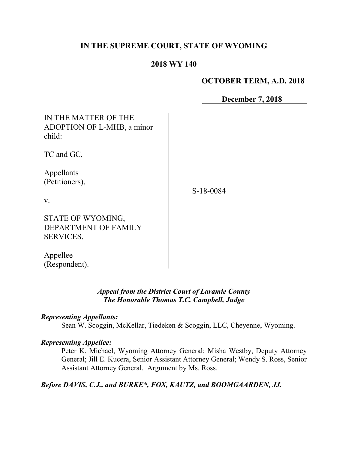# **IN THE SUPREME COURT, STATE OF WYOMING**

## **2018 WY 140**

# **OCTOBER TERM, A.D. 2018**

**December 7, 2018**

| IN THE MATTER OF THE<br>ADOPTION OF L-MHB, a minor<br>child: |           |
|--------------------------------------------------------------|-----------|
| TC and GC,                                                   |           |
| Appellants<br>(Petitioners),<br>V.                           | S-18-0084 |
| STATE OF WYOMING,<br>DEPARTMENT OF FAMILY<br>SERVICES,       |           |
| Appellee                                                     |           |

*Appeal from the District Court of Laramie County*

# *The Honorable Thomas T.C. Campbell, Judge*

#### *Representing Appellants:*

(Respondent).

Sean W. Scoggin, McKellar, Tiedeken & Scoggin, LLC, Cheyenne, Wyoming.

#### *Representing Appellee:*

Peter K. Michael, Wyoming Attorney General; Misha Westby, Deputy Attorney General; Jill E. Kucera, Senior Assistant Attorney General; Wendy S. Ross, Senior Assistant Attorney General. Argument by Ms. Ross.

*Before DAVIS, C.J., and BURKE\*, FOX, KAUTZ, and BOOMGAARDEN, JJ.*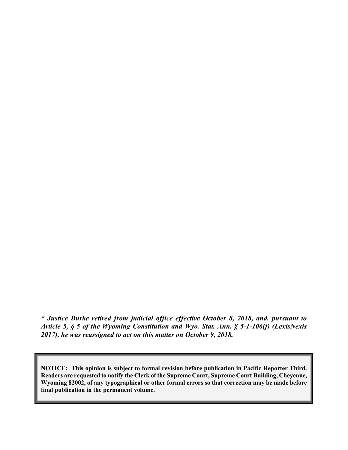*\* Justice Burke retired from judicial office effective October 8, 2018, and, pursuant to Article 5, § 5 of the Wyoming Constitution and Wyo. Stat. Ann. § 5-1-106(f) (LexisNexis 2017), he was reassigned to act on this matter on October 9, 2018.*

**NOTICE: This opinion is subject to formal revision before publication in Pacific Reporter Third. Readers are requested to notify the Clerk of the Supreme Court, Supreme Court Building, Cheyenne, Wyoming 82002, of any typographical or other formal errors so that correction may be made before final publication in the permanent volume.**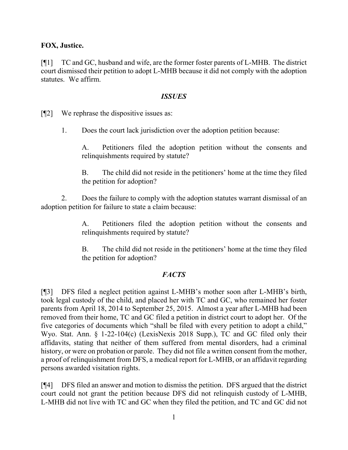## **FOX, Justice.**

[¶1] TC and GC, husband and wife, are the former foster parents of L-MHB. The district court dismissed their petition to adopt L-MHB because it did not comply with the adoption statutes. We affirm.

#### *ISSUES*

[¶2] We rephrase the dispositive issues as:

1. Does the court lack jurisdiction over the adoption petition because:

A. Petitioners filed the adoption petition without the consents and relinquishments required by statute?

B. The child did not reside in the petitioners' home at the time they filed the petition for adoption?

2. Does the failure to comply with the adoption statutes warrant dismissal of an adoption petition for failure to state a claim because:

> A. Petitioners filed the adoption petition without the consents and relinquishments required by statute?

> B. The child did not reside in the petitioners' home at the time they filed the petition for adoption?

# *FACTS*

[¶3] DFS filed a neglect petition against L-MHB's mother soon after L-MHB's birth, took legal custody of the child, and placed her with TC and GC, who remained her foster parents from April 18, 2014 to September 25, 2015. Almost a year after L-MHB had been removed from their home, TC and GC filed a petition in district court to adopt her. Of the five categories of documents which "shall be filed with every petition to adopt a child," Wyo. Stat. Ann. § 1-22-104(c) (LexisNexis 2018 Supp.), TC and GC filed only their affidavits, stating that neither of them suffered from mental disorders, had a criminal history, or were on probation or parole. They did not file a written consent from the mother, a proof of relinquishment from DFS, a medical report for L-MHB, or an affidavit regarding persons awarded visitation rights.

[¶4] DFS filed an answer and motion to dismiss the petition. DFS argued that the district court could not grant the petition because DFS did not relinquish custody of L-MHB, L-MHB did not live with TC and GC when they filed the petition, and TC and GC did not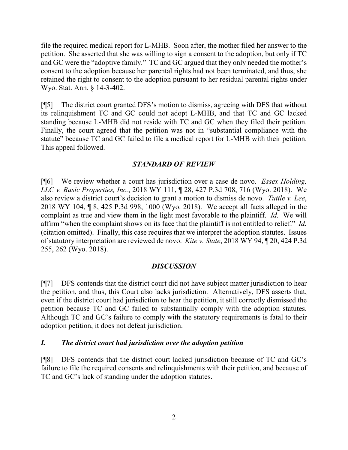file the required medical report for L-MHB. Soon after, the mother filed her answer to the petition. She asserted that she was willing to sign a consent to the adoption, but only if TC and GC were the "adoptive family." TC and GC argued that they only needed the mother's consent to the adoption because her parental rights had not been terminated, and thus, she retained the right to consent to the adoption pursuant to her residual parental rights under Wyo. Stat. Ann. § 14-3-402.

[¶5] The district court granted DFS's motion to dismiss, agreeing with DFS that without its relinquishment TC and GC could not adopt L-MHB, and that TC and GC lacked standing because L-MHB did not reside with TC and GC when they filed their petition. Finally, the court agreed that the petition was not in "substantial compliance with the statute" because TC and GC failed to file a medical report for L-MHB with their petition. This appeal followed.

# *STANDARD OF REVIEW*

[¶6] We review whether a court has jurisdiction over a case de novo. *Essex Holding, LLC v. Basic Properties, Inc.*, 2018 WY 111, ¶ 28, 427 P.3d 708, 716 (Wyo. 2018). We also review a district court's decision to grant a motion to dismiss de novo. *Tuttle v. Lee*, 2018 WY 104, ¶ 8, 425 P.3d 998, 1000 (Wyo. 2018). We accept all facts alleged in the complaint as true and view them in the light most favorable to the plaintiff. *Id.* We will affirm "when the complaint shows on its face that the plaintiff is not entitled to relief." *Id.* (citation omitted). Finally, this case requires that we interpret the adoption statutes. Issues of statutory interpretation are reviewed de novo. *Kite v. State*, 2018 WY 94, ¶ 20, 424 P.3d 255, 262 (Wyo. 2018).

# *DISCUSSION*

[¶7] DFS contends that the district court did not have subject matter jurisdiction to hear the petition, and thus, this Court also lacks jurisdiction. Alternatively, DFS asserts that, even if the district court had jurisdiction to hear the petition, it still correctly dismissed the petition because TC and GC failed to substantially comply with the adoption statutes. Although TC and GC's failure to comply with the statutory requirements is fatal to their adoption petition, it does not defeat jurisdiction.

# *I. The district court had jurisdiction over the adoption petition*

[¶8] DFS contends that the district court lacked jurisdiction because of TC and GC's failure to file the required consents and relinquishments with their petition, and because of TC and GC's lack of standing under the adoption statutes.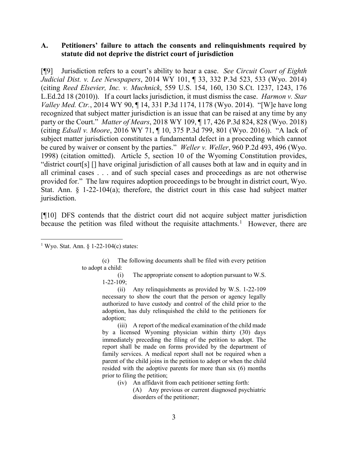#### **A. Petitioners' failure to attach the consents and relinquishments required by statute did not deprive the district court of jurisdiction**

[¶9] Jurisdiction refers to a court's ability to hear a case. *See Circuit Court of Eighth Judicial Dist. v. Lee Newspapers*, 2014 WY 101, ¶ 33, 332 P.3d 523, 533 (Wyo. 2014) (citing *Reed Elsevier, Inc. v. Muchnick*, 559 U.S. 154, 160, 130 S.Ct. 1237, 1243, 176 L.Ed.2d 18 (2010)). If a court lacks jurisdiction, it must dismiss the case. *Harmon v. Star Valley Med. Ctr.*, 2014 WY 90, ¶ 14, 331 P.3d 1174, 1178 (Wyo. 2014). "[W]e have long recognized that subject matter jurisdiction is an issue that can be raised at any time by any party or the Court." *Matter of Mears*, 2018 WY 109, ¶ 17, 426 P.3d 824, 828 (Wyo. 2018) (citing *Edsall v. Moore*, 2016 WY 71, ¶ 10, 375 P.3d 799, 801 (Wyo. 2016)). "A lack of subject matter jurisdiction constitutes a fundamental defect in a proceeding which cannot be cured by waiver or consent by the parties." *Weller v. Weller*, 960 P.2d 493, 496 (Wyo. 1998) (citation omitted). Article 5, section 10 of the Wyoming Constitution provides, "district court[s] [] have original jurisdiction of all causes both at law and in equity and in all criminal cases . . . and of such special cases and proceedings as are not otherwise provided for." The law requires adoption proceedings to be brought in district court, Wyo. Stat. Ann. § 1-22-104(a); therefore, the district court in this case had subject matter jurisdiction.

[¶10] DFS contends that the district court did not acquire subject matter jurisdiction because the petition was filed without the requisite attachments.<sup>[1](#page-4-0)</sup> However, there are

(c) The following documents shall be filed with every petition to adopt a child:

(i) The appropriate consent to adoption pursuant to W.S. 1-22-109;

(ii) Any relinquishments as provided by W.S. 1-22-109 necessary to show the court that the person or agency legally authorized to have custody and control of the child prior to the adoption, has duly relinquished the child to the petitioners for adoption;

(iii) A report of the medical examination of the child made by a licensed Wyoming physician within thirty (30) days immediately preceding the filing of the petition to adopt. The report shall be made on forms provided by the department of family services. A medical report shall not be required when a parent of the child joins in the petition to adopt or when the child resided with the adoptive parents for more than six (6) months prior to filing the petition;

- (iv) An affidavit from each petitioner setting forth:
	- (A) Any previous or current diagnosed psychiatric disorders of the petitioner;

<span id="page-4-0"></span><sup>&</sup>lt;sup>1</sup> Wyo. Stat. Ann.  $\S$  1-22-104(c) states: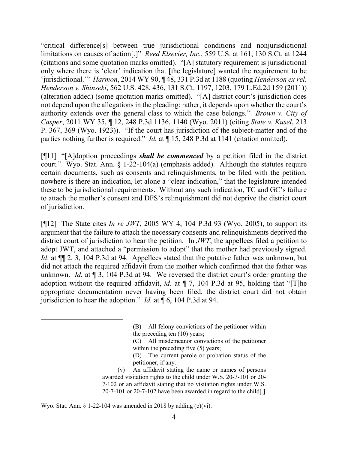"critical difference[s] between true jurisdictional conditions and nonjurisdictional limitations on causes of action[.]" *Reed Elsevier, Inc.*, 559 U.S. at 161, 130 S.Ct. at 1244 (citations and some quotation marks omitted). "[A] statutory requirement is jurisdictional only where there is 'clear' indication that [the legislature] wanted the requirement to be 'jurisdictional.'" *Harmon*, 2014 WY 90, ¶ 48, 331 P.3d at 1188 (quoting *Henderson ex rel. Henderson v. Shinseki*, 562 U.S. 428, 436, 131 S.Ct. 1197, 1203, 179 L.Ed.2d 159 (2011)) (alteration added) (some quotation marks omitted). "[A] district court's jurisdiction does not depend upon the allegations in the pleading; rather, it depends upon whether the court's authority extends over the general class to which the case belongs." *Brown v. City of Casper*, 2011 WY 35, ¶ 12, 248 P.3d 1136, 1140 (Wyo. 2011) (citing *State v. Kusel*, 213 P. 367, 369 (Wyo. 1923)). "If the court has jurisdiction of the subject-matter and of the parties nothing further is required." *Id.* at ¶ 15, 248 P.3d at 1141 (citation omitted).

[¶11] "[A]doption proceedings *shall be commenced* by a petition filed in the district court." Wyo. Stat. Ann. § 1-22-104(a) (emphasis added). Although the statutes require certain documents, such as consents and relinquishments, to be filed with the petition, nowhere is there an indication, let alone a "clear indication," that the legislature intended these to be jurisdictional requirements. Without any such indication, TC and GC's failure to attach the mother's consent and DFS's relinquishment did not deprive the district court of jurisdiction.

[¶12] The State cites *In re JWT*, 2005 WY 4, 104 P.3d 93 (Wyo. 2005), to support its argument that the failure to attach the necessary consents and relinquishments deprived the district court of jurisdiction to hear the petition. In *JWT*, the appellees filed a petition to adopt JWT, and attached a "permission to adopt" that the mother had previously signed. *Id*. at  $\P$ [2, 3, 104 P.3d at 94. Appellees stated that the putative father was unknown, but did not attach the required affidavit from the mother which confirmed that the father was unknown. *Id.* at ¶ 3, 104 P.3d at 94. We reversed the district court's order granting the adoption without the required affidavit, *id*. at ¶ 7, 104 P.3d at 95, holding that "[T]he appropriate documentation never having been filed, the district court did not obtain jurisdiction to hear the adoption." *Id.* at ¶ 6, 104 P.3d at 94.

Wyo. Stat. Ann.  $\S 1-22-104$  was amended in 2018 by adding (c)(vi).

<sup>(</sup>B) All felony convictions of the petitioner within the preceding ten (10) years;

<sup>(</sup>C) All misdemeanor convictions of the petitioner within the preceding five  $(5)$  years;

<sup>(</sup>D) The current parole or probation status of the petitioner, if any.

<sup>(</sup>v) An affidavit stating the name or names of persons awarded visitation rights to the child under W.S. 20-7-101 or 20- 7-102 or an affidavit stating that no visitation rights under W.S. 20-7-101 or 20-7-102 have been awarded in regard to the child[.]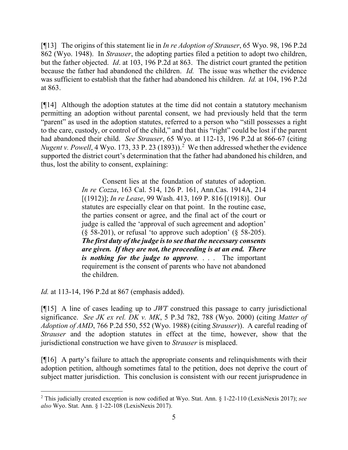[¶13] The origins of this statement lie in *In re Adoption of Strauser*, 65 Wyo. 98, 196 P.2d 862 (Wyo. 1948). In *Strauser*, the adopting parties filed a petition to adopt two children, but the father objected. *Id*. at 103, 196 P.2d at 863. The district court granted the petition because the father had abandoned the children. *Id.* The issue was whether the evidence was sufficient to establish that the father had abandoned his children. *Id.* at 104, 196 P.2d at 863.

[¶14] Although the adoption statutes at the time did not contain a statutory mechanism permitting an adoption without parental consent, we had previously held that the term "parent" as used in the adoption statutes, referred to a person who "still possesses a right to the care, custody, or control of the child," and that this "right" could be lost if the parent had abandoned their child. *See Strauser*, 65 Wyo. at 112-13, 196 P.2d at 866-67 (citing *Nugent v. Powell*, 4 Wyo. 173, 33 P. [2](#page-6-0)3 (1893)).<sup>2</sup> We then addressed whether the evidence supported the district court's determination that the father had abandoned his children, and thus, lost the ability to consent, explaining:

> Consent lies at the foundation of statutes of adoption. *In re Cozza*, 163 Cal. 514, 126 P. 161, Ann.Cas. 1914A, 214 [(1912)]; *In re Lease*, 99 Wash. 413, 169 P. 816 [(1918)]. Our statutes are especially clear on that point. In the routine case, the parties consent or agree, and the final act of the court or judge is called the 'approval of such agreement and adoption'  $(\S 58-201)$ , or refusal 'to approve such adoption'  $(\S 58-205)$ . *The first duty of the judge is to see that the necessary consents are given. If they are not, the proceeding is at an end. There is nothing for the judge to approve.* . . . The important requirement is the consent of parents who have not abandoned the children.

*Id.* at 113-14, 196 P.2d at 867 (emphasis added).

[¶15] A line of cases leading up to *JWT* construed this passage to carry jurisdictional significance. *See JK ex rel. DK v. MK*, 5 P.3d 782, 788 (Wyo. 2000) (citing *Matter of Adoption of AMD*, 766 P.2d 550, 552 (Wyo. 1988) (citing *Strauser*)). A careful reading of *Strauser* and the adoption statutes in effect at the time, however, show that the jurisdictional construction we have given to *Strauser* is misplaced.

[¶16] A party's failure to attach the appropriate consents and relinquishments with their adoption petition, although sometimes fatal to the petition, does not deprive the court of subject matter jurisdiction. This conclusion is consistent with our recent jurisprudence in

<span id="page-6-0"></span><sup>2</sup> This judicially created exception is now codified at Wyo. Stat. Ann. § 1-22-110 (LexisNexis 2017); *see also* Wyo. Stat. Ann. § 1-22-108 (LexisNexis 2017).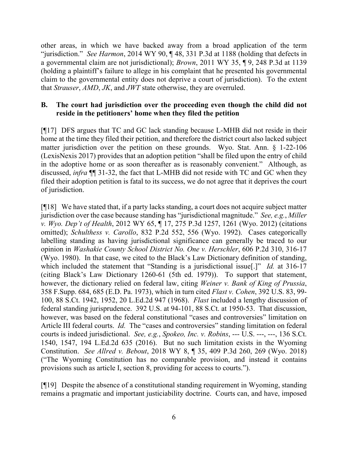other areas, in which we have backed away from a broad application of the term "jurisdiction." *See Harmon*, 2014 WY 90, ¶ 48, 331 P.3d at 1188 (holding that defects in a governmental claim are not jurisdictional); *Brown*, 2011 WY 35, ¶ 9, 248 P.3d at 1139 (holding a plaintiff's failure to allege in his complaint that he presented his governmental claim to the governmental entity does not deprive a court of jurisdiction). To the extent that *Strauser*, *AMD*, *JK*, and *JWT* state otherwise, they are overruled.

# **B. The court had jurisdiction over the proceeding even though the child did not reside in the petitioners' home when they filed the petition**

[¶17] DFS argues that TC and GC lack standing because L-MHB did not reside in their home at the time they filed their petition, and therefore the district court also lacked subject matter jurisdiction over the petition on these grounds. Wyo. Stat. Ann. § 1-22-106 (LexisNexis 2017) provides that an adoption petition "shall be filed upon the entry of child in the adoptive home or as soon thereafter as is reasonably convenient." Although, as discussed, *infra* ¶¶ 31-32, the fact that L-MHB did not reside with TC and GC when they filed their adoption petition is fatal to its success, we do not agree that it deprives the court of jurisdiction.

[¶18] We have stated that, if a party lacks standing, a court does not acquire subject matter jurisdiction over the case because standing has "jurisdictional magnitude." *See, e.g.*, *Miller v. Wyo. Dep't of Health*, 2012 WY 65, ¶ 17, 275 P.3d 1257, 1261 (Wyo. 2012) (citations omitted); *Schulthess v. Carollo*, 832 P.2d 552, 556 (Wyo. 1992). Cases categorically labelling standing as having jurisdictional significance can generally be traced to our opinion in *Washakie County School District No. One v. Herschler*, 606 P.2d 310, 316-17 (Wyo. 1980). In that case, we cited to the Black's Law Dictionary definition of standing, which included the statement that "Standing is a jurisdictional issue[.]" *Id.* at 316-17 (citing Black's Law Dictionary 1260-61 (5th ed. 1979)). To support that statement, however, the dictionary relied on federal law, citing *Weiner v. Bank of King of Prussia*, 358 F.Supp. 684, 685 (E.D. Pa. 1973), which in turn cited *Flast v. Cohen*, 392 U.S. 83, 99- 100, 88 S.Ct. 1942, 1952, 20 L.Ed.2d 947 (1968). *Flast* included a lengthy discussion of federal standing jurisprudence. 392 U.S. at 94-101, 88 S.Ct. at 1950-53. That discussion, however, was based on the federal constitutional "cases and controversies" limitation on Article III federal courts. *Id.* The "cases and controversies" standing limitation on federal courts is indeed jurisdictional. *See, e.g.*, *Spokeo, Inc. v. Robins*, --- U.S. ---, ---, 136 S.Ct. 1540, 1547, 194 L.Ed.2d 635 (2016). But no such limitation exists in the Wyoming Constitution. *See Allred v. Bebout*, 2018 WY 8, ¶ 35, 409 P.3d 260, 269 (Wyo. 2018) ("The Wyoming Constitution has no comparable provision, and instead it contains provisions such as article I, section 8, providing for access to courts.").

[¶19] Despite the absence of a constitutional standing requirement in Wyoming, standing remains a pragmatic and important justiciability doctrine. Courts can, and have, imposed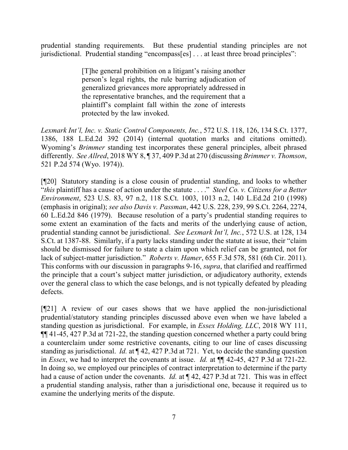prudential standing requirements. But these prudential standing principles are not jurisdictional. Prudential standing "encompass[es] . . . at least three broad principles":

> [T]he general prohibition on a litigant's raising another person's legal rights, the rule barring adjudication of generalized grievances more appropriately addressed in the representative branches, and the requirement that a plaintiff's complaint fall within the zone of interests protected by the law invoked.

*Lexmark Int'l, Inc. v. Static Control Components, Inc.*, 572 U.S. 118, 126, 134 S.Ct. 1377, 1386, 188 L.Ed.2d 392 (2014) (internal quotation marks and citations omitted). Wyoming's *Brimmer* standing test incorporates these general principles, albeit phrased differently. *See Allred*, 2018 WY 8, ¶ 37, 409 P.3d at 270 (discussing *Brimmer v. Thomson*, 521 P.2d 574 (Wyo. 1974)).

[¶20] Statutory standing is a close cousin of prudential standing, and looks to whether "*this* plaintiff has a cause of action under the statute . . . ." *Steel Co. v. Citizens for a Better Environment*, 523 U.S. 83, 97 n.2, 118 S.Ct. 1003, 1013 n.2, 140 L.Ed.2d 210 (1998) (emphasis in original); *see also Davis v. Passman*, 442 U.S. 228, 239, 99 S.Ct. 2264, 2274, 60 L.Ed.2d 846 (1979). Because resolution of a party's prudential standing requires to some extent an examination of the facts and merits of the underlying cause of action, prudential standing cannot be jurisdictional. *See Lexmark Int'l, Inc.*, 572 U.S. at 128, 134 S.Ct. at 1387-88. Similarly, if a party lacks standing under the statute at issue, their "claim should be dismissed for failure to state a claim upon which relief can be granted, not for lack of subject-matter jurisdiction." *Roberts v. Hamer*, 655 F.3d 578, 581 (6th Cir. 2011). This conforms with our discussion in paragraphs 9-16, *supra*, that clarified and reaffirmed the principle that a court's subject matter jurisdiction, or adjudicatory authority, extends over the general class to which the case belongs, and is not typically defeated by pleading defects.

[¶21] A review of our cases shows that we have applied the non-jurisdictional prudential/statutory standing principles discussed above even when we have labeled a standing question as jurisdictional. For example, in *Essex Holding, LLC*, 2018 WY 111, ¶¶ 41-45, 427 P.3d at 721-22, the standing question concerned whether a party could bring a counterclaim under some restrictive covenants, citing to our line of cases discussing standing as jurisdictional. *Id.* at ¶ 42, 427 P.3d at 721. Yet, to decide the standing question in *Essex*, we had to interpret the covenants at issue. *Id.* at ¶¶ 42-45, 427 P.3d at 721-22. In doing so, we employed our principles of contract interpretation to determine if the party had a cause of action under the covenants. *Id.* at ¶ 42, 427 P.3d at 721. This was in effect a prudential standing analysis, rather than a jurisdictional one, because it required us to examine the underlying merits of the dispute.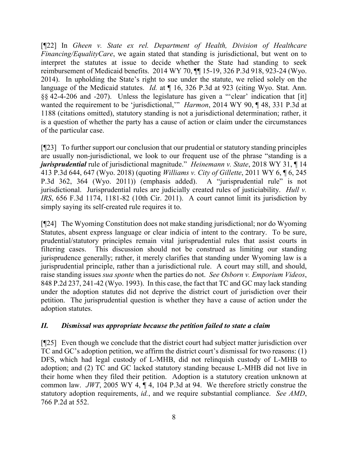[¶22] In *Gheen v. State ex rel. Department of Health, Division of Healthcare Financing/EqualityCare*, we again stated that standing is jurisdictional, but went on to interpret the statutes at issue to decide whether the State had standing to seek reimbursement of Medicaid benefits. 2014 WY 70, ¶¶ 15-19, 326 P.3d 918, 923-24 (Wyo. 2014). In upholding the State's right to sue under the statute, we relied solely on the language of the Medicaid statutes. *Id.* at  $\P$  16, 326 P.3d at 923 (citing Wyo. Stat. Ann. §§ 42-4-206 and -207). Unless the legislature has given a "'clear' indication that [it] wanted the requirement to be 'jurisdictional,'" *Harmon*, 2014 WY 90, ¶ 48, 331 P.3d at 1188 (citations omitted), statutory standing is not a jurisdictional determination; rather, it is a question of whether the party has a cause of action or claim under the circumstances of the particular case.

[¶23] To further support our conclusion that our prudential or statutory standing principles are usually non-jurisdictional, we look to our frequent use of the phrase "standing is a *jurisprudential* rule of jurisdictional magnitude." *Heinemann v. State*, 2018 WY 31, ¶ 14 413 P.3d 644, 647 (Wyo. 2018) (quoting *Williams v. City of Gillette*, 2011 WY 6, ¶ 6, 245 P.3d 362, 364 (Wyo. 2011)) (emphasis added). A "jurisprudential rule" is not jurisdictional. Jurisprudential rules are judicially created rules of justiciability. *Hull v. IRS*, 656 F.3d 1174, 1181-82 (10th Cir. 2011). A court cannot limit its jurisdiction by simply saying its self-created rule requires it to.

[¶24] The Wyoming Constitution does not make standing jurisdictional; nor do Wyoming Statutes, absent express language or clear indicia of intent to the contrary. To be sure, prudential/statutory principles remain vital jurisprudential rules that assist courts in filtering cases. This discussion should not be construed as limiting our standing jurisprudence generally; rather, it merely clarifies that standing under Wyoming law is a jurisprudential principle, rather than a jurisdictional rule. A court may still, and should, raise standing issues *sua sponte* when the parties do not. *See Osborn v. Emporium Videos*, 848 P.2d 237, 241-42 (Wyo. 1993). In this case, the fact that TC and GC may lack standing under the adoption statutes did not deprive the district court of jurisdiction over their petition. The jurisprudential question is whether they have a cause of action under the adoption statutes.

# *II. Dismissal was appropriate because the petition failed to state a claim*

[¶25] Even though we conclude that the district court had subject matter jurisdiction over TC and GC's adoption petition, we affirm the district court's dismissal for two reasons: (1) DFS, which had legal custody of L-MHB, did not relinquish custody of L-MHB to adoption; and (2) TC and GC lacked statutory standing because L-MHB did not live in their home when they filed their petition. Adoption is a statutory creation unknown at common law. *JWT*, 2005 WY 4, ¶ 4, 104 P.3d at 94. We therefore strictly construe the statutory adoption requirements, *id.*, and we require substantial compliance. *See AMD*, 766 P.2d at 552.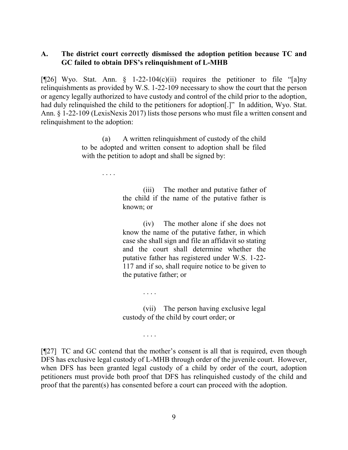#### **A. The district court correctly dismissed the adoption petition because TC and GC failed to obtain DFS's relinquishment of L-MHB**

[ $[26]$  Wyo. Stat. Ann. § 1-22-104(c)(ii) requires the petitioner to file "[a]ny relinquishments as provided by W.S. 1-22-109 necessary to show the court that the person or agency legally authorized to have custody and control of the child prior to the adoption, had duly relinquished the child to the petitioners for adoption[.]" In addition, Wyo. Stat. Ann. § 1-22-109 (LexisNexis 2017) lists those persons who must file a written consent and relinquishment to the adoption:

> (a) A written relinquishment of custody of the child to be adopted and written consent to adoption shall be filed with the petition to adopt and shall be signed by:

> > . . . .

(iii) The mother and putative father of the child if the name of the putative father is known; or

(iv) The mother alone if she does not know the name of the putative father, in which case she shall sign and file an affidavit so stating and the court shall determine whether the putative father has registered under W.S. 1-22- 117 and if so, shall require notice to be given to the putative father; or

(vii) The person having exclusive legal custody of the child by court order; or

. . . .

. . . .

[¶27] TC and GC contend that the mother's consent is all that is required, even though DFS has exclusive legal custody of L-MHB through order of the juvenile court. However, when DFS has been granted legal custody of a child by order of the court, adoption petitioners must provide both proof that DFS has relinquished custody of the child and proof that the parent(s) has consented before a court can proceed with the adoption.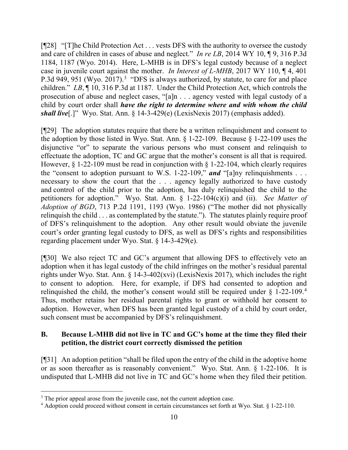[¶28] "[T]he Child Protection Act . . . vests DFS with the authority to oversee the custody and care of children in cases of abuse and neglect." *In re LB*, 2014 WY 10, ¶ 9, 316 P.3d 1184, 1187 (Wyo. 2014). Here, L-MHB is in DFS's legal custody because of a neglect case in juvenile court against the mother. *In Interest of L-MHB*, 2017 WY 110, ¶ 4, 401 P.[3](#page-11-0)d 949, 951 (Wyo. 2017).<sup>3</sup> "DFS is always authorized, by statute, to care for and place children." *LB*, ¶ 10, 316 P.3d at 1187. Under the Child Protection Act, which controls the prosecution of abuse and neglect cases, "[a]n . . . agency vested with legal custody of a child by court order shall *have the right to determine where and with whom the child shall live*[.]" Wyo. Stat. Ann. § 14-3-429(e) (LexisNexis 2017) (emphasis added).

[¶29] The adoption statutes require that there be a written relinquishment and consent to the adoption by those listed in Wyo. Stat. Ann.  $\S$  1-22-109. Because  $\S$  1-22-109 uses the disjunctive "or" to separate the various persons who must consent and relinquish to effectuate the adoption, TC and GC argue that the mother's consent is all that is required. However,  $\S 1-22-109$  must be read in conjunction with  $\S 1-22-104$ , which clearly requires the "consent to adoption pursuant to W.S. 1-22-109," *and* "[a]ny relinquishments . . . necessary to show the court that the . . . agency legally authorized to have custody and control of the child prior to the adoption, has duly relinquished the child to the petitioners for adoption." Wyo. Stat. Ann. § 1-22-104(c)(i) and (ii). *See Matter of Adoption of BGD*, 713 P.2d 1191, 1193 (Wyo. 1986) ("The mother did not physically relinquish the child . . . as contemplated by the statute."). The statutes plainly require proof of DFS's relinquishment to the adoption. Any other result would obviate the juvenile court's order granting legal custody to DFS, as well as DFS's rights and responsibilities regarding placement under Wyo. Stat. § 14-3-429(e).

[¶30] We also reject TC and GC's argument that allowing DFS to effectively veto an adoption when it has legal custody of the child infringes on the mother's residual parental rights under Wyo. Stat. Ann. § 14-3-402(xvi) (LexisNexis 2017), which includes the right to consent to adoption. Here, for example, if DFS had consented to adoption and relinguished the child, the mother's consent would still be required under  $\S$  1-22-109.<sup>[4](#page-11-1)</sup> Thus, mother retains her residual parental rights to grant or withhold her consent to adoption. However, when DFS has been granted legal custody of a child by court order, such consent must be accompanied by DFS's relinquishment.

# **B. Because L-MHB did not live in TC and GC's home at the time they filed their petition, the district court correctly dismissed the petition**

[¶31] An adoption petition "shall be filed upon the entry of the child in the adoptive home or as soon thereafter as is reasonably convenient." Wyo. Stat. Ann. § 1-22-106. It is undisputed that L-MHB did not live in TC and GC's home when they filed their petition.

<span id="page-11-0"></span><sup>3</sup> The prior appeal arose from the juvenile case, not the current adoption case.

<span id="page-11-1"></span><sup>&</sup>lt;sup>4</sup> Adoption could proceed without consent in certain circumstances set forth at Wyo. Stat. § 1-22-110.